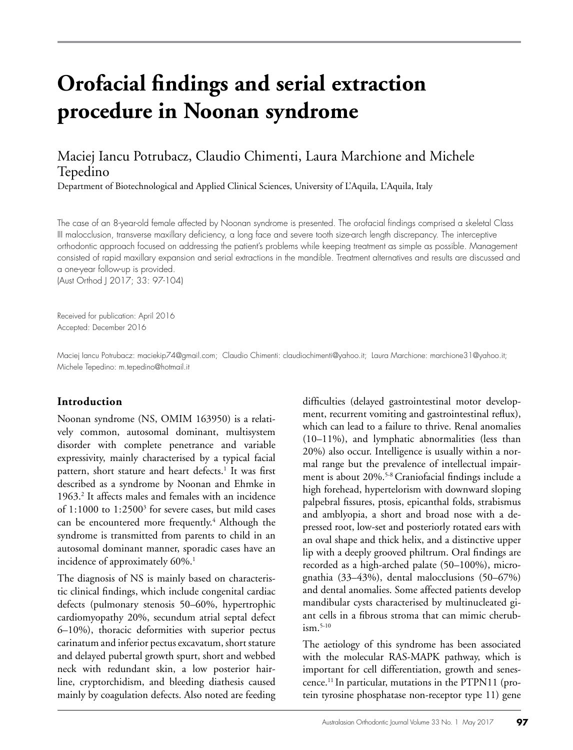# **Orofacial findings and serial extraction procedure in Noonan syndrome**

## Maciej Iancu Potrubacz, Claudio Chimenti, Laura Marchione and Michele Tepedino

Department of Biotechnological and Applied Clinical Sciences, University of L'Aquila, L'Aquila, Italy

The case of an 8-year-old female affected by Noonan syndrome is presented. The orofacial findings comprised a skeletal Class III malocclusion, transverse maxillary deficiency, a long face and severe tooth size-arch length discrepancy. The interceptive orthodontic approach focused on addressing the patient's problems while keeping treatment as simple as possible. Management consisted of rapid maxillary expansion and serial extractions in the mandible. Treatment alternatives and results are discussed and a one-year follow-up is provided. (Aust Orthod J 2017; 33: 97-104)

Received for publication: April 2016 Accepted: December 2016

Maciej Iancu Potrubacz: maciekip74@gmail.com; Claudio Chimenti: claudiochimenti@yahoo.it; Laura Marchione: marchione31@yahoo.it; Michele Tepedino: m.tepedino@hotmail.it

## **Introduction**

Noonan syndrome (NS, OMIM 163950) is a relatively common, autosomal dominant, multisystem disorder with complete penetrance and variable expressivity, mainly characterised by a typical facial pattern, short stature and heart defects.<sup>1</sup> It was first described as a syndrome by Noonan and Ehmke in 1963.2 It affects males and females with an incidence of  $1:1000$  to  $1:2500<sup>3</sup>$  for severe cases, but mild cases can be encountered more frequently.<sup>4</sup> Although the syndrome is transmitted from parents to child in an autosomal dominant manner, sporadic cases have an incidence of approximately 60%.<sup>1</sup>

The diagnosis of NS is mainly based on characteristic clinical findings, which include congenital cardiac defects (pulmonary stenosis 50–60%, hypertrophic cardiomyopathy 20%, secundum atrial septal defect 6–10%), thoracic deformities with superior pectus carinatum and inferior pectus excavatum, short stature and delayed pubertal growth spurt, short and webbed neck with redundant skin, a low posterior hairline, cryptorchidism, and bleeding diathesis caused mainly by coagulation defects. Also noted are feeding

difficulties (delayed gastrointestinal motor development, recurrent vomiting and gastrointestinal reflux), which can lead to a failure to thrive. Renal anomalies (10–11%), and lymphatic abnormalities (less than 20%) also occur. Intelligence is usually within a normal range but the prevalence of intellectual impairment is about 20%.<sup>5-8</sup> Craniofacial findings include a high forehead, hypertelorism with downward sloping palpebral fissures, ptosis, epicanthal folds, strabismus and amblyopia, a short and broad nose with a depressed root, low-set and posteriorly rotated ears with an oval shape and thick helix, and a distinctive upper lip with a deeply grooved philtrum. Oral findings are recorded as a high-arched palate (50–100%), micrognathia (33–43%), dental malocclusions (50–67%) and dental anomalies. Some affected patients develop mandibular cysts characterised by multinucleated giant cells in a fibrous stroma that can mimic cherub $ism.5-10$ 

The aetiology of this syndrome has been associated with the molecular RAS-MAPK pathway, which is important for cell differentiation, growth and senescence.11 In particular, mutations in the PTPN11 (protein tyrosine phosphatase non-receptor type 11) gene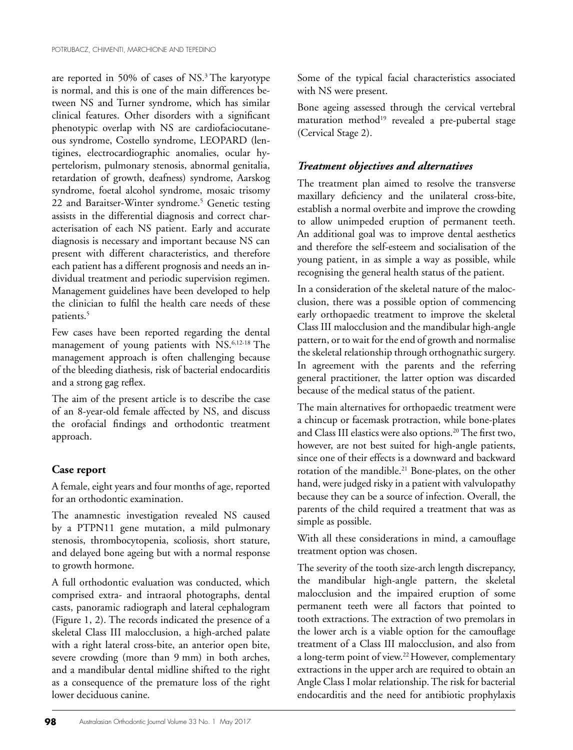are reported in 50% of cases of NS.3 The karyotype is normal, and this is one of the main differences between NS and Turner syndrome, which has similar clinical features. Other disorders with a significant phenotypic overlap with NS are cardiofaciocutaneous syndrome, Costello syndrome, LEOPARD (lentigines, electrocardiographic anomalies, ocular hypertelorism, pulmonary stenosis, abnormal genitalia, retardation of growth, deafness) syndrome, Aarskog syndrome, foetal alcohol syndrome, mosaic trisomy 22 and Baraitser-Winter syndrome.<sup>5</sup> Genetic testing assists in the differential diagnosis and correct characterisation of each NS patient. Early and accurate diagnosis is necessary and important because NS can present with different characteristics, and therefore each patient has a different prognosis and needs an individual treatment and periodic supervision regimen. Management guidelines have been developed to help the clinician to fulfil the health care needs of these patients.5

Few cases have been reported regarding the dental management of young patients with NS.6,12-18 The management approach is often challenging because of the bleeding diathesis, risk of bacterial endocarditis and a strong gag reflex.

The aim of the present article is to describe the case of an 8-year-old female affected by NS, and discuss the orofacial findings and orthodontic treatment approach.

### **Case report**

A female, eight years and four months of age, reported for an orthodontic examination.

The anamnestic investigation revealed NS caused by a PTPN11 gene mutation, a mild pulmonary stenosis, thrombocytopenia, scoliosis, short stature, and delayed bone ageing but with a normal response to growth hormone.

A full orthodontic evaluation was conducted, which comprised extra- and intraoral photographs, dental casts, panoramic radiograph and lateral cephalogram (Figure 1, 2). The records indicated the presence of a skeletal Class III malocclusion, a high-arched palate with a right lateral cross-bite, an anterior open bite, severe crowding (more than 9 mm) in both arches, and a mandibular dental midline shifted to the right as a consequence of the premature loss of the right lower deciduous canine.

Some of the typical facial characteristics associated with NS were present.

Bone ageing assessed through the cervical vertebral maturation method<sup>19</sup> revealed a pre-pubertal stage (Cervical Stage 2).

## *Treatment objectives and alternatives*

The treatment plan aimed to resolve the transverse maxillary deficiency and the unilateral cross-bite, establish a normal overbite and improve the crowding to allow unimpeded eruption of permanent teeth. An additional goal was to improve dental aesthetics and therefore the self-esteem and socialisation of the young patient, in as simple a way as possible, while recognising the general health status of the patient.

In a consideration of the skeletal nature of the malocclusion, there was a possible option of commencing early orthopaedic treatment to improve the skeletal Class III malocclusion and the mandibular high-angle pattern, or to wait for the end of growth and normalise the skeletal relationship through orthognathic surgery. In agreement with the parents and the referring general practitioner, the latter option was discarded because of the medical status of the patient.

The main alternatives for orthopaedic treatment were a chincup or facemask protraction, while bone-plates and Class III elastics were also options.20 The first two, however, are not best suited for high-angle patients, since one of their effects is a downward and backward rotation of the mandible.21 Bone-plates, on the other hand, were judged risky in a patient with valvulopathy because they can be a source of infection. Overall, the parents of the child required a treatment that was as simple as possible.

With all these considerations in mind, a camouflage treatment option was chosen.

The severity of the tooth size-arch length discrepancy, the mandibular high-angle pattern, the skeletal malocclusion and the impaired eruption of some permanent teeth were all factors that pointed to tooth extractions. The extraction of two premolars in the lower arch is a viable option for the camouflage treatment of a Class III malocclusion, and also from a long-term point of view.22 However, complementary extractions in the upper arch are required to obtain an Angle Class I molar relationship. The risk for bacterial endocarditis and the need for antibiotic prophylaxis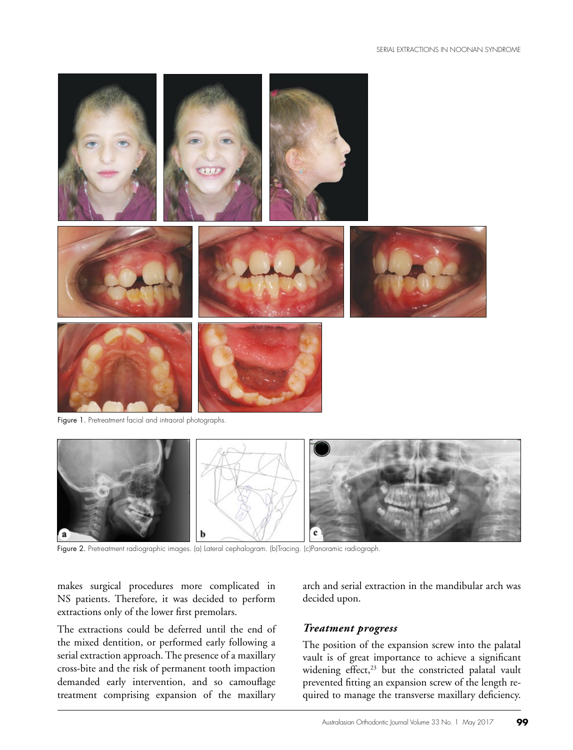

Figure 1. Pretreatment facial and intraoral photographs.



Figure 2. Pretreatment radiographic images. (a) Lateral cephalogram. (b)Tracing. (c)Panoramic radiograph.

makes surgical procedures more complicated in NS patients. Therefore, it was decided to perform extractions only of the lower first premolars.

The extractions could be deferred until the end of the mixed dentition, or performed early following a serial extraction approach. The presence of a maxillary cross-bite and the risk of permanent tooth impaction demanded early intervention, and so camouflage treatment comprising expansion of the maxillary arch and serial extraction in the mandibular arch was decided upon.

#### *Treatment progress*

The position of the expansion screw into the palatal vault is of great importance to achieve a significant widening effect,<sup>23</sup> but the constricted palatal vault prevented fitting an expansion screw of the length required to manage the transverse maxillary deficiency.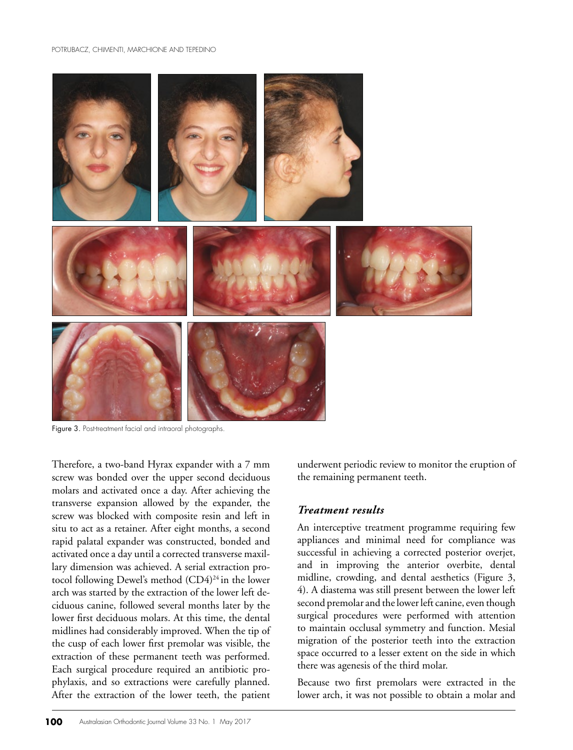

Figure 3. Post-treatment facial and intraoral photographs.

Therefore, a two-band Hyrax expander with a 7 mm screw was bonded over the upper second deciduous molars and activated once a day. After achieving the transverse expansion allowed by the expander, the screw was blocked with composite resin and left in situ to act as a retainer. After eight months, a second rapid palatal expander was constructed, bonded and activated once a day until a corrected transverse maxillary dimension was achieved. A serial extraction protocol following Dewel's method (CD4)<sup>24</sup> in the lower arch was started by the extraction of the lower left deciduous canine, followed several months later by the lower first deciduous molars. At this time, the dental midlines had considerably improved. When the tip of the cusp of each lower first premolar was visible, the extraction of these permanent teeth was performed. Each surgical procedure required an antibiotic prophylaxis, and so extractions were carefully planned. After the extraction of the lower teeth, the patient underwent periodic review to monitor the eruption of the remaining permanent teeth.

#### *Treatment results*

An interceptive treatment programme requiring few appliances and minimal need for compliance was successful in achieving a corrected posterior overjet, and in improving the anterior overbite, dental midline, crowding, and dental aesthetics (Figure 3, 4). A diastema was still present between the lower left second premolar and the lower left canine, even though surgical procedures were performed with attention to maintain occlusal symmetry and function. Mesial migration of the posterior teeth into the extraction space occurred to a lesser extent on the side in which there was agenesis of the third molar.

Because two first premolars were extracted in the lower arch, it was not possible to obtain a molar and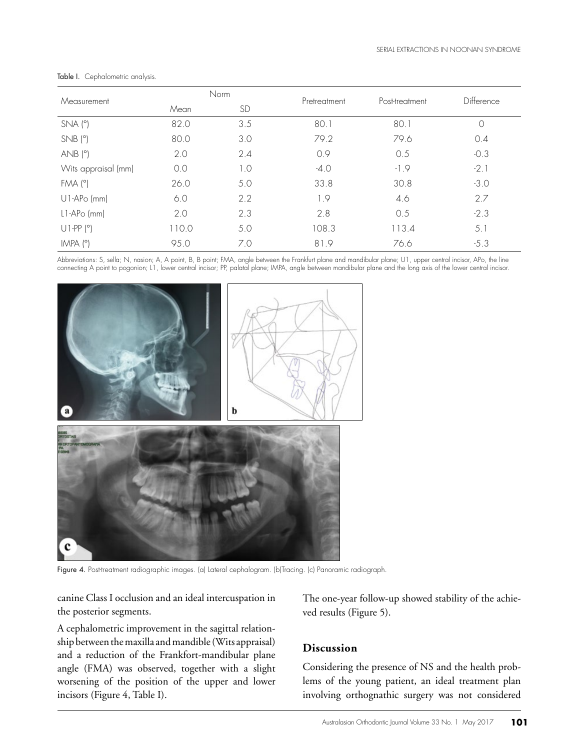| Measurement         | Norm  |           |              | Post-treatment | Difference |
|---------------------|-------|-----------|--------------|----------------|------------|
|                     | Mean  | <b>SD</b> | Pretreatment |                |            |
| $SNA(^{\circ})$     | 82.0  | 3.5       | 80.1         | 80.1           | $\circ$    |
| $SNB$ ( $°$ )       | 80.0  | 3.0       | 79.2         | 79.6           | 0.4        |
| AND (°)             | 2.0   | 2.4       | 0.9          | 0.5            | $-0.3$     |
| Wits appraisal (mm) | 0.0   | 1.0       | $-4.0$       | $-1.9$         | $-2.1$     |
| FMA (°)             | 26.0  | 5.0       | 33.8         | 30.8           | $-3.0$     |
| $U1-APo$ (mm)       | 6.0   | 2.2       | 1.9          | 4.6            | 2.7        |
| $L1-APo$ (mm)       | 2.0   | 2.3       | 2.8          | 0.5            | $-2.3$     |
| $U1-PP (°)$         | 110.0 | 5.0       | 108.3        | 113.4          | 5.1        |
| IMPA (°)            | 95.0  | 7.0       | 81.9         | 76.6           | $-5.3$     |

Table I. Cephalometric analysis.

Abbreviations: S, sella; N, nasion; A, A point, B, B point; FMA, angle between the Frankfurt plane and mandibular plane; U1, upper central incisor, APo, the line connecting A point to pogonion; L1, lower central incisor; PP, palatal plane; IMPA, angle between mandibular plane and the long axis of the lower central incisor.



Figure 4. Post-treatment radiographic images. (a) Lateral cephalogram. (b)Tracing. (c) Panoramic radiograph.

canine Class I occlusion and an ideal intercuspation in the posterior segments.

A cephalometric improvement in the sagittal relationship between the maxilla and mandible (Wits appraisal) and a reduction of the Frankfort-mandibular plane angle (FMA) was observed, together with a slight worsening of the position of the upper and lower incisors (Figure 4, Table I).

The one-year follow-up showed stability of the achieved results (Figure 5).

## **Discussion**

Considering the presence of NS and the health problems of the young patient, an ideal treatment plan involving orthognathic surgery was not considered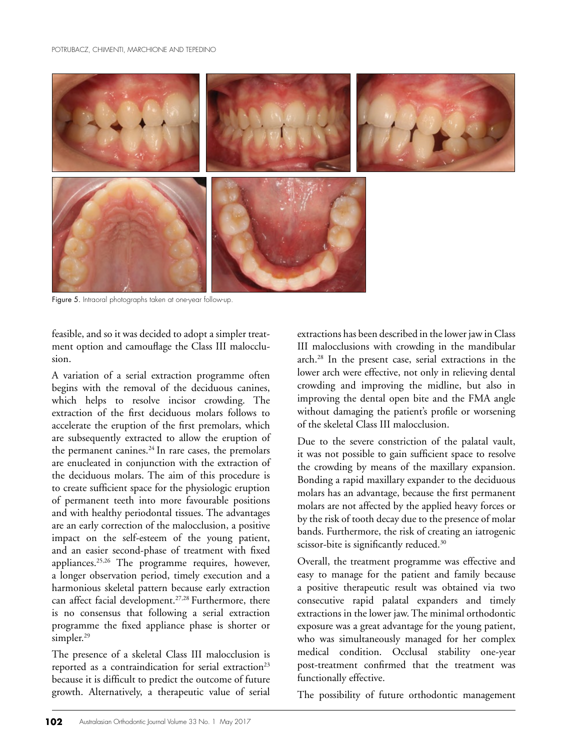

Figure 5. Intraoral photographs taken at one-year follow-up.

feasible, and so it was decided to adopt a simpler treatment option and camouflage the Class III malocclusion.

A variation of a serial extraction programme often begins with the removal of the deciduous canines, which helps to resolve incisor crowding. The extraction of the first deciduous molars follows to accelerate the eruption of the first premolars, which are subsequently extracted to allow the eruption of the permanent canines. $24$  In rare cases, the premolars are enucleated in conjunction with the extraction of the deciduous molars. The aim of this procedure is to create sufficient space for the physiologic eruption of permanent teeth into more favourable positions and with healthy periodontal tissues. The advantages are an early correction of the malocclusion, a positive impact on the self-esteem of the young patient, and an easier second-phase of treatment with fixed appliances.25,26 The programme requires, however, a longer observation period, timely execution and a harmonious skeletal pattern because early extraction can affect facial development.<sup>27,28</sup> Furthermore, there is no consensus that following a serial extraction programme the fixed appliance phase is shorter or simpler.<sup>29</sup>

The presence of a skeletal Class III malocclusion is reported as a contraindication for serial extraction<sup>23</sup> because it is difficult to predict the outcome of future growth. Alternatively, a therapeutic value of serial

extractions has been described in the lower jaw in Class III malocclusions with crowding in the mandibular arch.28 In the present case, serial extractions in the lower arch were effective, not only in relieving dental crowding and improving the midline, but also in improving the dental open bite and the FMA angle without damaging the patient's profile or worsening of the skeletal Class III malocclusion.

Due to the severe constriction of the palatal vault, it was not possible to gain sufficient space to resolve the crowding by means of the maxillary expansion. Bonding a rapid maxillary expander to the deciduous molars has an advantage, because the first permanent molars are not affected by the applied heavy forces or by the risk of tooth decay due to the presence of molar bands. Furthermore, the risk of creating an iatrogenic scissor-bite is significantly reduced.<sup>30</sup>

Overall, the treatment programme was effective and easy to manage for the patient and family because a positive therapeutic result was obtained via two consecutive rapid palatal expanders and timely extractions in the lower jaw. The minimal orthodontic exposure was a great advantage for the young patient, who was simultaneously managed for her complex medical condition. Occlusal stability one-year post-treatment confirmed that the treatment was functionally effective.

The possibility of future orthodontic management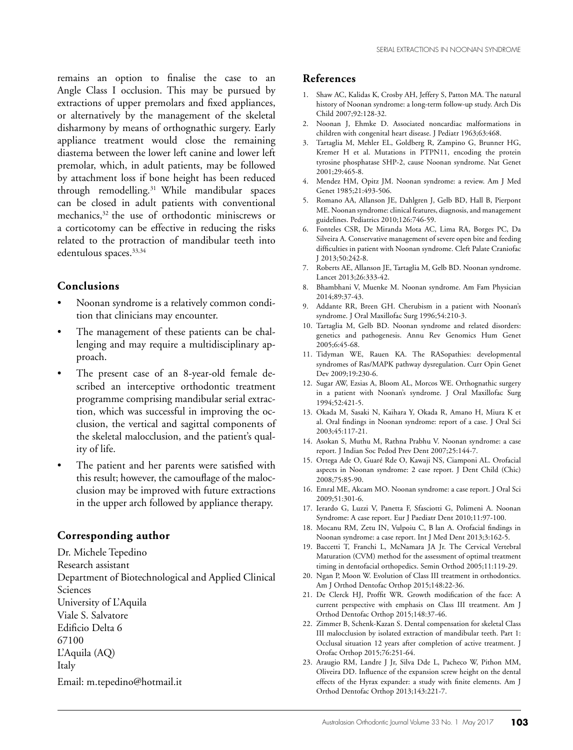remains an option to finalise the case to an Angle Class I occlusion. This may be pursued by extractions of upper premolars and fixed appliances, or alternatively by the management of the skeletal disharmony by means of orthognathic surgery. Early appliance treatment would close the remaining diastema between the lower left canine and lower left premolar, which, in adult patients, may be followed by attachment loss if bone height has been reduced through remodelling.31 While mandibular spaces can be closed in adult patients with conventional mechanics,<sup>32</sup> the use of orthodontic miniscrews or a corticotomy can be effective in reducing the risks related to the protraction of mandibular teeth into edentulous spaces.<sup>33,34</sup>

#### **Conclusions**

- Noonan syndrome is a relatively common condition that clinicians may encounter.
- The management of these patients can be challenging and may require a multidisciplinary approach.
- The present case of an 8-year-old female described an interceptive orthodontic treatment programme comprising mandibular serial extraction, which was successful in improving the occlusion, the vertical and sagittal components of the skeletal malocclusion, and the patient's quality of life.
- The patient and her parents were satisfied with this result; however, the camouflage of the malocclusion may be improved with future extractions in the upper arch followed by appliance therapy.

#### **Corresponding author**

Dr. Michele Tepedino Research assistant Department of Biotechnological and Applied Clinical Sciences University of L'Aquila Viale S. Salvatore Edificio Delta 6 67100 L'Aquila (AQ) Italy Email: m.tepedino@hotmail.it

#### **References**

- 1. Shaw AC, Kalidas K, Crosby AH, Jeffery S, Patton MA. The natural history of Noonan syndrome: a long-term follow-up study. Arch Dis Child 2007;92:128-32.
- 2. Noonan J, Ehmke D. Associated noncardiac malformations in children with congenital heart disease. J Pediatr 1963;63:468.
- 3. Tartaglia M, Mehler EL, Goldberg R, Zampino G, Brunner HG, Kremer H et al. Mutations in PTPN11, encoding the protein tyrosine phosphatase SHP-2, cause Noonan syndrome. Nat Genet 2001;29:465-8.
- 4. Mendez HM, Opitz JM. Noonan syndrome: a review. Am J Med Genet 1985;21:493-506.
- 5. Romano AA, Allanson JE, Dahlgren J, Gelb BD, Hall B, Pierpont ME. Noonan syndrome: clinical features, diagnosis, and management guidelines. Pediatrics 2010;126:746-59.
- 6. Fonteles CSR, De Miranda Mota AC, Lima RA, Borges PC, Da Silveira A. Conservative management of severe open bite and feeding difficulties in patient with Noonan syndrome. Cleft Palate Craniofac J 2013;50:242-8.
- 7. Roberts AE, Allanson JE, Tartaglia M, Gelb BD. Noonan syndrome. Lancet 2013;26:333-42.
- 8. Bhambhani V, Muenke M. Noonan syndrome. Am Fam Physician 2014;89:37-43.
- 9. Addante RR, Breen GH. Cherubism in a patient with Noonan's syndrome. J Oral Maxillofac Surg 1996;54:210-3.
- 10. Tartaglia M, Gelb BD. Noonan syndrome and related disorders: genetics and pathogenesis. Annu Rev Genomics Hum Genet 2005;6:45-68.
- 11. Tidyman WE, Rauen KA. The RASopathies: developmental syndromes of Ras/MAPK pathway dysregulation. Curr Opin Genet Dev 2009;19:230-6.
- 12. Sugar AW, Ezsias A, Bloom AL, Morcos WE. Orthognathic surgery in a patient with Noonan's syndrome. J Oral Maxillofac Surg 1994;52:421-5.
- 13. Okada M, Sasaki N, Kaihara Y, Okada R, Amano H, Miura K et al. Oral findings in Noonan syndrome: report of a case. J Oral Sci 2003;45:117-21.
- 14. Asokan S, Muthu M, Rathna Prabhu V. Noonan syndrome: a case report. J Indian Soc Pedod Prev Dent 2007;25:144-7.
- 15. Ortega Ade O, Guaré Rde O, Kawaji NS, Ciamponi AL. Orofacial aspects in Noonan syndrome: 2 case report. J Dent Child (Chic) 2008;75:85-90.
- 16. Emral ME, Akcam MO. Noonan syndrome: a case report. J Oral Sci 2009;51:301-6.
- 17. Ierardo G, Luzzi V, Panetta F, Sfasciotti G, Polimeni A. Noonan Syndrome: A case report. Eur J Paediatr Dent 2010;11:97-100.
- 18. Mocanu RM, Zetu IN, Vulpoiu C, B lan A. Orofacial findings in Noonan syndrome: a case report. Int J Med Dent 2013;3:162-5.
- 19. Baccetti T, Franchi L, McNamara JA Jr. The Cervical Vertebral Maturation (CVM) method for the assessment of optimal treatment timing in dentofacial orthopedics. Semin Orthod 2005;11:119-29.
- 20. Ngan P, Moon W. Evolution of Class III treatment in orthodontics. Am J Orthod Dentofac Orthop 2015;148:22-36.
- 21. De Clerck HJ, Proffit WR. Growth modification of the face: A current perspective with emphasis on Class III treatment. Am J Orthod Dentofac Orthop 2015;148:37-46.
- 22. Zimmer B, Schenk-Kazan S. Dental compensation for skeletal Class III malocclusion by isolated extraction of mandibular teeth. Part 1: Occlusal situation 12 years after completion of active treatment. J Orofac Orthop 2015;76:251-64.
- 23. Araugio RM, Landre J Jr, Silva Dde L, Pacheco W, Pithon MM, Oliveira DD. Influence of the expansion screw height on the dental effects of the Hyrax expander: a study with finite elements. Am J Orthod Dentofac Orthop 2013;143:221-7.